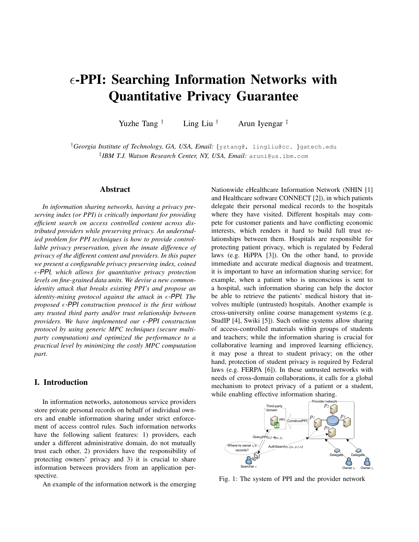# $\epsilon$ -PPI: Searching Information Networks with Quantitative Privacy Guarantee

Yuzhe Tang † Ling Liu † Arun Iyengar ‡

†*Georgia Institute of Technology, GA, USA, Email:* {yztang@, lingliu@cc. }gatech.edu ‡ *IBM T.J. Watson Research Center, NY, USA, Email:* aruni@us.ibm.com

## Abstract

*In information sharing networks, having a privacy preserving index (or PPI) is critically important for providing efficient search on access controlled content across distributed providers while preserving privacy. An understudied problem for PPI techniques is how to provide controllable privacy preservation, given the innate difference of privacy of the different content and providers. In this paper we present a configurable privacy preserving index, coined* ǫ*-PPI, which allows for quantitative privacy protection levels on fine-grained data units. We devise a new commonidentity attack that breaks existing PPI's and propose an identity-mixing protocol against the attack in*  $\epsilon$ *-PPI. The*  $proposed \epsilon$ -PPI construction protocol is the first without *any trusted third party and/or trust relationship between providers. We have implemented our*  $\epsilon$ -PPI *construction protocol by using generic MPC techniques (secure multiparty computation) and optimized the performance to a practical level by minimizing the costly MPC computation part.*

# I. Introduction

In information networks, autonomous service providers store private personal records on behalf of individual owners and enable information sharing under strict enforcement of access control rules. Such information networks have the following salient features: 1) providers, each under a different administrative domain, do not mutually trust each other, 2) providers have the responsibility of protecting owners' privacy and 3) it is crucial to share information between providers from an application perspective.

An example of the information network is the emerging

Nationwide eHealthcare Information Network (NHIN [1] and Healthcare software CONNECT [2]), in which patients delegate their personal medical records to the hospitals where they have visited. Different hospitals may compete for customer patients and have conflicting economic interests, which renders it hard to build full trust relationships between them. Hospitals are responsible for protecting patient privacy, which is regulated by Federal laws (e.g. HiPPA [3]). On the other hand, to provide immediate and accurate medical diagnosis and treatment, it is important to have an information sharing service; for example, when a patient who is unconscious is sent to a hospital, such information sharing can help the doctor be able to retrieve the patients' medical history that involves multiple (untrusted) hospitals. Another example is cross-university online course management systems (e.g. StudIP [4], Swiki [5]). Such online systems allow sharing of access-controlled materials within groups of students and teachers; while the information sharing is crucial for collaborative learning and improved learning efficiency, it may pose a threat to student privacy; on the other hand, protection of student privacy is required by Federal laws (e.g. FERPA [6]). In these untrusted networks with needs of cross-domain collaborations, it calls for a global mechanism to protect privacy of a patient or a student, while enabling effective information sharing.



Fig. 1: The system of PPI and the provider network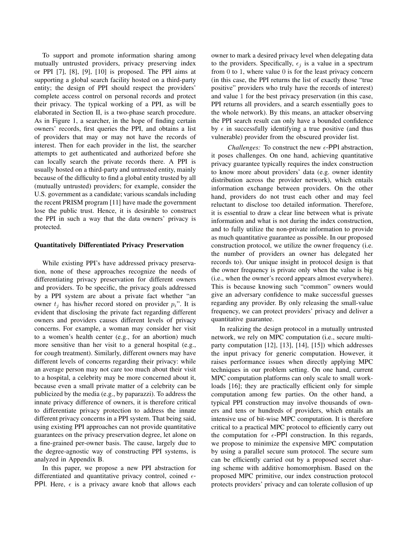To support and promote information sharing among mutually untrusted providers, privacy preserving index or PPI [7], [8], [9], [10] is proposed. The PPI aims at supporting a global search facility hosted on a third-party entity; the design of PPI should respect the providers' complete access control on personal records and protect their privacy. The typical working of a PPI, as will be elaborated in Section II, is a two-phase search procedure. As in Figure 1, a searcher, in the hope of finding certain owners' records, first queries the PPI, and obtains a list of providers that may or may not have the records of interest. Then for each provider in the list, the searcher attempts to get authenticated and authorized before she can locally search the private records there. A PPI is usually hosted on a third-party and untrusted entity, mainly because of the difficulty to find a global entity trusted by all (mutually untrusted) providers; for example, consider the U.S. government as a candidate; various scandals including the recent PRISM program [11] have made the government lose the public trust. Hence, it is desirable to construct the PPI in such a way that the data owners' privacy is protected.

#### Quantitatively Differentiated Privacy Preservation

While existing PPI's have addressed privacy preservation, none of these approaches recognize the needs of differentiating privacy preservation for different owners and providers. To be specific, the privacy goals addressed by a PPI system are about a private fact whether "an owner  $t_i$  has his/her record stored on provider  $p_i$ ". It is evident that disclosing the private fact regarding different owners and providers causes different levels of privacy concerns. For example, a woman may consider her visit to a women's health center (e.g., for an abortion) much more sensitive than her visit to a general hospital (e.g., for cough treatment). Similarly, different owners may have different levels of concerns regarding their privacy: while an average person may not care too much about their visit to a hospital, a celebrity may be more concerned about it, because even a small private matter of a celebrity can be publicized by the media (e.g., by paparazzi). To address the innate privacy difference of owners, it is therefore critical to differentiate privacy protection to address the innate different privacy concerns in a PPI system. That being said, using existing PPI approaches can not provide quantitative guarantees on the privacy preservation degree, let alone on a fine-grained per-owner basis. The cause, largely due to the degree-agnostic way of constructing PPI systems, is analyzed in Appendix B.

In this paper, we propose a new PPI abstraction for differentiated and quantitative privacy control, coined  $\epsilon$ -PPI. Here,  $\epsilon$  is a privacy aware knob that allows each owner to mark a desired privacy level when delegating data to the providers. Specifically,  $\epsilon_j$  is a value in a spectrum from  $0$  to  $1$ , where value  $0$  is for the least privacy concern (in this case, the PPI returns the list of exactly those "true positive" providers who truly have the records of interest) and value 1 for the best privacy preservation (in this case, PPI returns all providers, and a search essentially goes to the whole network). By this means, an attacker observing the PPI search result can only have a bounded confidence by  $\epsilon$  in successfully identifying a true positive (and thus vulnerable) provider from the obscured provider list.

*Challenges:* To construct the new  $\epsilon$ -PPI abstraction, it poses challenges. On one hand, achieving quantitative privacy guarantee typically requires the index construction to know more about providers' data (e.g. owner identity distribution across the provider network), which entails information exchange between providers. On the other hand, providers do not trust each other and may feel reluctant to disclose too detailed information. Therefore, it is essential to draw a clear line between what is private information and what is not during the index construction, and to fully utilize the non-private information to provide as much quantitative guarantee as possible. In our proposed construction protocol, we utilize the owner frequency (i.e. the number of providers an owner has delegated her records to). Our unique insight in protocol design is that the owner frequency is private only when the value is big (i.e., when the owner's record appears almost everywhere). This is because knowing such "common" owners would give an adversary confidence to make successful guesses regarding any provider. By only releasing the small-value frequency, we can protect providers' privacy and deliver a quantitative guarantee.

In realizing the design protocol in a mutually untrusted network, we rely on MPC computation (i.e., secure multiparty computation [12], [13], [14], [15]) which addresses the input privacy for generic computation. However, it raises performance issues when directly applying MPC techniques in our problem setting. On one hand, current MPC computation platforms can only scale to small workloads [16]; they are practically efficient only for simple computation among few parties. On the other hand, a typical PPI construction may involve thousands of owners and tens or hundreds of providers, which entails an intensive use of bit-wise MPC computation. It is therefore critical to a practical MPC protocol to efficiently carry out the computation for  $\epsilon$ -PPI construction. In this regards, we propose to minimize the expensive MPC computation by using a parallel secure sum protocol. The secure sum can be efficiently carried out by a proposed secret sharing scheme with additive homomorphism. Based on the proposed MPC primitive, our index construction protocol protects providers' privacy and can tolerate collusion of up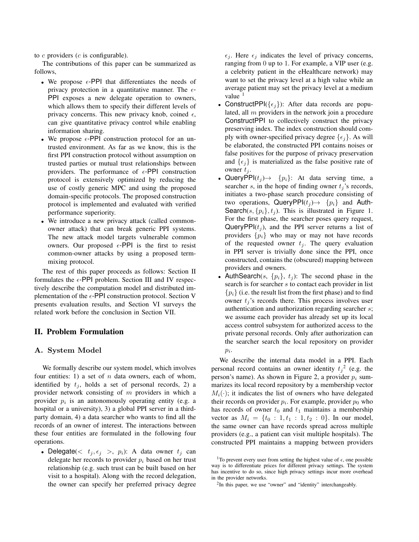to  $c$  providers  $(c$  is configurable).

The contributions of this paper can be summarized as follows,

- We propose  $\epsilon$ -PPI that differentiates the needs of privacy protection in a quantitative manner. The  $\epsilon$ -PPI exposes a new delegate operation to owners, which allows them to specify their different levels of privacy concerns. This new privacy knob, coined  $\epsilon$ , can give quantitative privacy control while enabling information sharing.
- We propose  $\epsilon$ -PPI construction protocol for an untrusted environment. As far as we know, this is the first PPI construction protocol without assumption on trusted parties or mutual trust relationships between providers. The performance of  $\epsilon$ -PPI construction protocol is extensively optimized by reducing the use of costly generic MPC and using the proposed domain-specific protocols. The proposed construction protocol is implemented and evaluated with verified performance superiority.
- We introduce a new privacy attack (called commonowner attack) that can break generic PPI systems. The new attack model targets vulnerable common owners. Our proposed  $\epsilon$ -PPI is the first to resist common-owner attacks by using a proposed termmixing protocol.

The rest of this paper proceeds as follows: Section II formulates the  $\epsilon$ -PPI problem. Section III and IV respectively describe the computation model and distributed implementation of the  $\epsilon$ -PPI construction protocol. Section V presents evaluation results, and Section VI surveys the related work before the conclusion in Section VII.

# II. Problem Formulation

## A. System Model

We formally describe our system model, which involves four entities: 1) a set of  $n$  data owners, each of whom, identified by  $t_i$ , holds a set of personal records, 2) a provider network consisting of m providers in which a provider  $p_i$  is an autonomously operating entity (e.g. a hospital or a university), 3) a global PPI server in a thirdparty domain, 4) a data searcher who wants to find all the records of an owner of interest. The interactions between these four entities are formulated in the following four operations.

• Delegate( $\langle t_j, \epsilon_j \rangle$ ,  $p_i$ ): A data owner  $t_j$  can delegate her records to provider  $p_i$  based on her trust relationship (e.g. such trust can be built based on her visit to a hospital). Along with the record delegation, the owner can specify her preferred privacy degree  $\epsilon_i$ . Here  $\epsilon_j$  indicates the level of privacy concerns, ranging from 0 up to 1. For example, a VIP user (e.g. a celebrity patient in the eHealthcare network) may want to set the privacy level at a high value while an average patient may set the privacy level at a medium value  $<sup>1</sup>$ </sup>

- ConstructPPI( $\{\epsilon_i\}$ ): After data records are populated, all  $m$  providers in the network join a procedure ConstructPPI to collectively construct the privacy preserving index. The index construction should comply with owner-specified privacy degree  $\{\epsilon_i\}$ . As will be elaborated, the constructed PPI contains noises or false positives for the purpose of privacy preservation and  $\{\epsilon_j\}$  is materialized as the false positive rate of owner  $t_j$ .
- QueryPPI $(t_i) \rightarrow \{p_i\}$ : At data serving time, a searcher s, in the hope of finding owner  $t_j$ 's records, initiates a two-phase search procedure consisting of two operations, QueryPPI( $t_j$ ) +  $\{p_i\}$  and Auth-Search(s,  $\{p_i\}$ ,  $t_j$ ). This is illustrated in Figure 1. For the first phase, the searcher poses query request, QueryPPI $(t_i)$ , and the PPI server returns a list of providers  $\{p_i\}$  who may or may not have records of the requested owner  $t_i$ . The query evaluation in PPI server is trivially done since the PPI, once constructed, contains the (obscured) mapping between providers and owners.
- AuthSearch(s,  $\{p_i\}$ ,  $t_i$ ): The second phase in the search is for searcher s to contact each provider in list  ${p_i}$  (i.e. the result list from the first phase) and to find owner  $t_j$ 's records there. This process involves user authentication and authorization regarding searcher s; we assume each provider has already set up its local access control subsystem for authorized access to the private personal records. Only after authorization can the searcher search the local repository on provider  $p_i$ .

We describe the internal data model in a PPI. Each personal record contains an owner identity  $t_j^2$  (e.g. the person's name). As shown in Figure 2, a provider  $p_i$  summarizes its local record repository by a membership vector  $M_i(\cdot)$ ; it indicates the list of owners who have delegated their records on provider  $p_i$ . For example, provider  $p_0$  who has records of owner  $t_0$  and  $t_1$  maintains a membership vector as  $M_i = \{t_0 : 1, t_1 : 1, t_2 : 0\}$ . In our model, the same owner can have records spread across multiple providers (e.g., a patient can visit multiple hospitals). The constructed PPI maintains a mapping between providers

<sup>&</sup>lt;sup>1</sup>To prevent every user from setting the highest value of  $\epsilon$ , one possible way is to differentiate prices for different privacy settings. The system has incentive to do so, since high privacy settings incur more overhead in the provider networks.

<sup>&</sup>lt;sup>2</sup>In this paper, we use "owner" and "identity" interchangeably.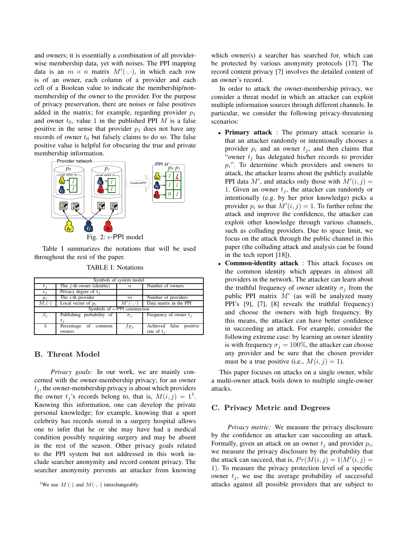and owners; it is essentially a combination of all providerwise membership data, yet with noises. The PPI mapping data is an  $m \times n$  matrix  $M'(\cdot, \cdot)$ , in which each row is of an owner, each column of a provider and each cell of a Boolean value to indicate the membership/nonmembership of the owner to the provider. For the purpose of privacy preservation, there are noises or false positives added in the matrix; for example, regarding provider  $p_1$ and owner  $t_0$ , value 1 in the published PPI M is a false positive in the sense that provider  $p_1$  does not have any records of owner  $t_0$  but falsely claims to do so. The false positive value is helpful for obscuring the true and private membership information.



Table I summarizes the notations that will be used throughout the rest of the paper.

| Symbols of system model                 |                              |                  |                               |  |  |  |
|-----------------------------------------|------------------------------|------------------|-------------------------------|--|--|--|
| $t_{\it i}$                             | The $j$ -th owner (identity) | $\boldsymbol{n}$ | Number of owners              |  |  |  |
| $\epsilon_i$                            | Privacy degree of $t_i$      |                  |                               |  |  |  |
| $p_i$                                   | The $i$ -th provider         | m                | Number of providers           |  |  |  |
| $M_i(\cdot)$                            | Local vector of $p_i$        | M′               | Data matrix in the PPI        |  |  |  |
| Symbols of $\epsilon$ -PPI construction |                              |                  |                               |  |  |  |
| $\beta_j$                               | Publishing probability of    | $\sigma_i$       | Frequency of owner $t_i$      |  |  |  |
|                                         | $t_i$                        |                  |                               |  |  |  |
|                                         | Percentage<br>of common      | $f p_i$          | positive<br>Achieved<br>false |  |  |  |
|                                         | owners                       |                  | rate of $t_i$                 |  |  |  |

## B. Threat Model

*Privacy goals:* In our work, we are mainly concerned with the owner-membership privacy; for an owner  $t_i$ , the owner-membership privacy is about which providers the owner  $t_j$ 's records belong to, that is,  $M(i, j) = 1^3$ . Knowing this information, one can develop the private personal knowledge; for example, knowing that a sport celebrity has records stored in a surgery hospital allows one to infer that he or she may have had a medical condition possibly requiring surgery and may be absent in the rest of the season. Other privacy goals related to the PPI system but not addressed in this work include searcher anonymity and record content privacy. The searcher anonymity prevents an attacker from knowing which owner(s) a searcher has searched for, which can be protected by various anonymity protocols [17]. The record content privacy [7] involves the detailed content of an owner's record.

In order to attack the owner-membership privacy, we consider a threat model in which an attacker can exploit multiple information sources through different channels. In particular, we consider the following privacy-threatening scenarios:

- Primary attack : The primary attack scenario is that an attacker randomly or intentionally chooses a provider  $p_i$  and an owner  $t_j$ , and then claims that "owner  $t_j$  has delegated his/her records to provider  $p_i$ ". To determine which providers and owners to attack, the attacker learns about the publicly available PPI data  $M'$ , and attacks only those with  $M'(i, j) =$ 1. Given an owner  $t_j$ , the attacker can randomly or intentionally (e.g. by her prior knowledge) picks a provider  $p_i$  so that  $M'(i, j) = 1$ . To further refine the attack and improve the confidence, the attacker can exploit other knowledge through various channels, such as colluding providers. Due to space limit, we focus on the attack through the public channel in this paper (the colluding attack and analysis can be found in the tech report [18]).
- Common-identity attack : This attack focuses on the common identity which appears in almost all providers in the network. The attacker can learn about the truthful frequency of owner identity  $\sigma_j$  from the public PPI matrix  $M'$  (as will be analyzed many PPI's [9], [7], [8] reveals the truthful frequency) and choose the owners with high frequency. By this means, the attacker can have better confidence in succeeding an attack. For example, consider the following extreme case: by learning an owner identity is with frequency  $\sigma_i = 100\%$ , the attacker can choose any provider and be sure that the chosen provider must be a true positive (i.e.,  $M(i, j) = 1$ ).

This paper focuses on attacks on a single owner, while a multi-owner attack boils down to multiple single-owner attacks.

#### C. Privacy Metric and Degrees

*Privacy metric:* We measure the privacy disclosure by the confidence an attacker can succeeding an attack. Formally, given an attack on an owner  $t_j$  and provider  $p_i$ , we measure the privacy disclosure by the probability that the attack can succeed, that is,  $Pr(M(i, j) = 1 | M'(i, j)) =$ 1). To measure the privacy protection level of a specific owner  $t_i$ , we use the average probability of successful attacks against all possible providers that are subject to

<sup>&</sup>lt;sup>3</sup>We use  $M(\cdot)$  and  $M(\cdot, \cdot)$  interchangeably.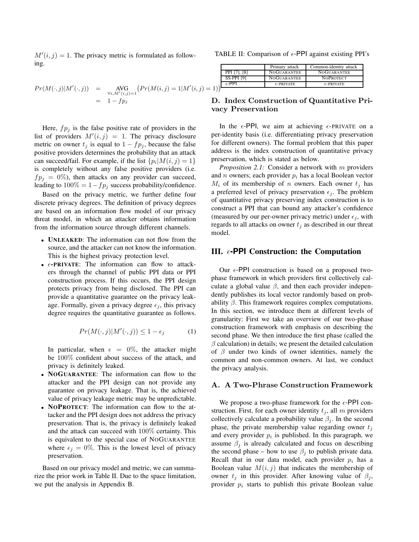$M'(i, j) = 1$ . The privacy metric is formulated as following.

$$
Pr(M(\cdot, j)|M'(\cdot, j)) = \text{AVG}_{\forall i, M'(i, j) = 1} (Pr(M(i, j) = 1|M'(i, j) = 1 - f p_j)
$$

Here,  $fp_j$  is the false positive rate of providers in the list of providers  $M'(i, j) = 1$ . The privacy disclosure metric on owner  $t_j$  is equal to  $1 - fp_j$ , because the false positive providers determines the probability that an attack can succeed/fail. For example, if the list  $\{p_i | M(i, j) = 1\}$ is completely without any false positive providers (i.e.  $fp_i = 0\%$ ), then attacks on any provider can succeed, leading to  $100\% = 1 - fp_j$  success probability/confidence.

Based on the privacy metric, we further define four discrete privacy degrees. The definition of privacy degrees are based on an information flow model of our privacy threat model, in which an attacker obtains information from the information source through different channels.

- UNLEAKED: The information can not flow from the source, and the attacker can not know the information. This is the highest privacy protection level.
- $\epsilon$ -PRIVATE: The information can flow to attackers through the channel of public PPI data or PPI construction process. If this occurs, the PPI design protects privacy from being disclosed. The PPI can provide a quantitative guarantee on the privacy leakage. Formally, given a privacy degree  $\epsilon_i$ , this privacy degree requires the quantitative guarantee as follows.

$$
Pr(M(\cdot, j)|M'(\cdot, j)) \le 1 - \epsilon_j \tag{1}
$$

In particular, when  $\epsilon = 0\%$ , the attacker might be 100% confident about success of the attack, and privacy is definitely leaked.

- NOGUARANTEE: The information can flow to the attacker and the PPI design can not provide any guarantee on privacy leakage. That is, the achieved value of privacy leakage metric may be unpredictable.
- NOPROTECT: The information can flow to the attacker and the PPI design does not address the privacy preservation. That is, the privacy is definitely leaked and the attack can succeed with 100% certainty. This is equivalent to the special case of NOGUARANTEE where  $\epsilon_j = 0\%$ . This is the lowest level of privacy preservation.

Based on our privacy model and metric, we can summarize the prior work in Table II. Due to the space limitation, we put the analysis in Appendix B.

TABLE II: Comparison of  $\epsilon$ -PPI against existing PPI's

|     |                   | Primary attack      | Common-identity attack |
|-----|-------------------|---------------------|------------------------|
|     | PPI [7], [8]      | <b>NOGUARANTEE</b>  | <b>NOGUARANTEE</b>     |
|     | <b>SS-PPI [9]</b> | <b>NOGUARANTEE</b>  | <b>NOPROTECT</b>       |
|     | $\epsilon$ -PPI   | $\epsilon$ -PRIVATE | $\epsilon$ -PRIVATE    |
| $=$ |                   |                     |                        |

# D. Index Construction of Quantitative Privacy Preservation

In the  $\epsilon$ -PPI, we aim at achieving  $\epsilon$ -PRIVATE on a per-identity basis (i.e. differentiating privacy preservation for different owners). The formal problem that this paper address is the index construction of quantitative privacy preservation, which is stated as below.

*Proposition 2.1:* Consider a network with m providers and *n* owners; each provider  $p_i$  has a local Boolean vector  $M_i$  of its membership of n owners. Each owner  $t_i$  has a preferred level of privacy preservation  $\epsilon_j$ . The problem of quantitative privacy preserving index construction is to construct a PPI that can bound any attacker's confidence (measured by our per-owner privacy metric) under  $\epsilon_j$ , with regards to all attacks on owner  $t_j$  as described in our threat model.

# III.  $\epsilon$ -**PPI** Construction: the Computation

Our  $\epsilon$ -PPI construction is based on a proposed twophase framework in which providers first collectively calculate a global value  $\beta$ , and then each provider independently publishes its local vector randomly based on probability  $\beta$ . This framework requires complex computations. In this section, we introduce them at different levels of granularity: First we take an overview of our two-phase construction framework with emphasis on describing the second phase. We then introduce the first phase (called the  $\beta$  calculation) in details; we present the detailed calculation of  $\beta$  under two kinds of owner identities, namely the common and non-common owners. At last, we conduct the privacy analysis.

#### A. A Two-Phrase Construction Framework

We propose a two-phase framework for the  $\epsilon$ -PPI construction. First, for each owner identity  $t_i$ , all m providers collectively calculate a probability value  $\beta_i$ . In the second phase, the private membership value regarding owner  $t_i$ and every provider  $p_i$  is published. In this paragraph, we assume  $\beta_i$  is already calculated and focus on describing the second phase – how to use  $\beta_j$  to publish private data. Recall that in our data model, each provider  $p_i$  has a Boolean value  $M(i, j)$  that indicates the membership of owner  $t_i$  in this provider. After knowing value of  $\beta_i$ , provider  $p_i$  starts to publish this private Boolean value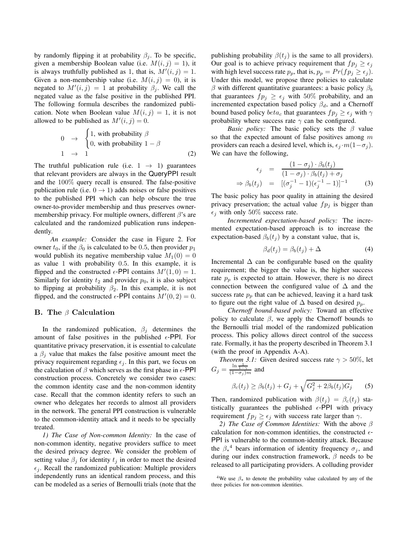by randomly flipping it at probability  $\beta_i$ . To be specific, given a membership Boolean value (i.e.  $M(i, j) = 1$ ), it is always truthfully published as 1, that is,  $M'(i, j) = 1$ . Given a non-membership value (i.e.  $M(i, j) = 0$ ), it is negated to  $M'(i, j) = 1$  at probability  $\beta_j$ . We call the negated value as the false positive in the published PPI. The following formula describes the randomized publication. Note when Boolean value  $M(i, j) = 1$ , it is not allowed to be published as  $M'(i, j) = 0$ .

$$
0 \rightarrow \begin{cases} 1, \text{ with probability } \beta \\ 0, \text{ with probability } 1 - \beta \\ 1 \rightarrow 1 \end{cases}
$$
 (2)

The truthful publication rule (i.e.  $1 \rightarrow 1$ ) guarantees that relevant providers are always in the QueryPPI result and the 100% query recall is ensured. The false-positive publication rule (i.e.  $0 \rightarrow 1$ ) adds noises or false positives to the published PPI which can help obscure the true owner-to-provider membership and thus preserves ownermembership privacy. For multiple owners, different  $\beta$ 's are calculated and the randomized publication runs independently.

*An example:* Consider the case in Figure 2. For owner  $t_0$ , if the  $\beta_0$  is calculated to be 0.5, then provider  $p_1$ would publish its negative membership value  $M_1(0) = 0$ as value 1 with probability 0.5. In this example, it is flipped and the constructed  $\epsilon$ -PPI contains  $M'(1,0) = 1$ . Similarly for identity  $t_2$  and provider  $p_0$ , it is also subject to flipping at probability  $\beta_2$ . In this example, it is not flipped, and the constructed  $\epsilon$ -PPI contains  $M'(0, 2) = 0$ .

## B. The  $\beta$  Calculation

In the randomized publication,  $\beta_j$  determines the amount of false positives in the published  $\epsilon$ -PPI. For quantitative privacy preservation, it is essential to calculate a  $\beta_i$  value that makes the false positive amount meet the privacy requirement regarding  $\epsilon_j$ . In this part, we focus on the calculation of  $\beta$  which serves as the first phase in  $\epsilon$ -PPI construction process. Concretely we consider two cases: the common identity case and the non-common identity case. Recall that the common identity refers to such an owner who delegates her records to almost all providers in the network. The general PPI construction is vulnerable to the common-identity attack and it needs to be specially treated.

*1) The Case of Non-common Identity:* In the case of non-common identity, negative providers suffice to meet the desired privacy degree. We consider the problem of setting value  $\beta_i$  for identity  $t_i$  in order to meet the desired  $\epsilon_i$ . Recall the randomized publication: Multiple providers independently runs an identical random process, and this can be modeled as a series of Bernoulli trials (note that the publishing probability  $\beta(t_i)$  is the same to all providers). Our goal is to achieve privacy requirement that  $fp_i \geq \epsilon_i$ with high level success rate  $p_p$ , that is,  $p_p = Pr(f p_j \ge \epsilon_j)$ . Under this model, we propose three policies to calculate β with different quantitative guarantees: a basic policy  $β<sub>b</sub>$ that guarantees  $fp_j \geq \epsilon_j$  with 50% probability, and an incremented expectation based policy  $\beta_d$ , and a Chernoff bound based policy  $beta_c$  that guarantees  $fp_j \geq \epsilon_j$  with  $\gamma$ probability where success rate  $\gamma$  can be configured.

*Basic policy:* The basic policy sets the  $\beta$  value so that the expected amount of false positives among m providers can reach a desired level, which is,  $\epsilon_j \cdot m(1-\sigma_j)$ . We can have the following,

$$
\epsilon_j = \frac{(1 - \sigma_j) \cdot \beta_b(t_j)}{(1 - \sigma_j) \cdot \beta_b(t_j) + \sigma_j}
$$
  
\n
$$
\Rightarrow \beta_b(t_j) = [(\sigma_j^{-1} - 1)(\epsilon_j^{-1} - 1)]^{-1}
$$
 (3)

The basic policy has poor quality in attaining the desired privacy preservation; the actual value  $fp<sub>j</sub>$  is bigger than  $\epsilon_i$  with only 50% success rate.

*Incremented expectation-based policy:* The incremented expectation-based approach is to increase the expectation-based  $\beta_b(t_j)$  by a constant value, that is,

$$
\beta_d(t_j) = \beta_b(t_j) + \Delta \tag{4}
$$

Incremental  $\Delta$  can be configurable based on the quality requirement; the bigger the value is, the higher success rate  $p_p$  is expected to attain. However, there is no direct connection between the configured value of  $\Delta$  and the success rate  $p_p$  that can be achieved, leaving it a hard task to figure out the right value of  $\Delta$  based on desired  $p_p$ .

*Chernoff bound-based policy:* Toward an effective policy to calculate  $\beta$ , we apply the Chernoff bounds to the Bernoulli trial model of the randomized publication process. This policy allows direct control of the success rate. Formally, it has the property described in Theorem 3.1 (with the proof in Appendix A-A).

*Theorem 3.1:* Given desired success rate  $\gamma > 50\%$ , let  $G_j = \frac{\ln \frac{1}{1-\gamma}}{(1-\sigma_j)m}$  and

$$
\beta_c(t_j) \ge \beta_b(t_j) + G_j + \sqrt{G_j^2 + 2\beta_b(t_j)G_j} \qquad (5)
$$

Then, randomized publication with  $\beta(t_i) = \beta_c(t_i)$  statistically guarantees the published  $\epsilon$ -PPI with privacy requirement  $fp_j \geq \epsilon_j$  with success rate larger than  $\gamma$ .

*2) The Case of Common Identities:* With the above β calculation for non-common identities, the constructed  $\epsilon$ -PPI is vulnerable to the common-identity attack. Because the  $\beta_*^4$  bears information of identity frequency  $\sigma_j$ , and during our index construction framework,  $\beta$  needs to be released to all participating providers. A colluding provider

<sup>&</sup>lt;sup>4</sup>We use  $\beta_*$  to denote the probability value calculated by any of the three policies for non-common identities.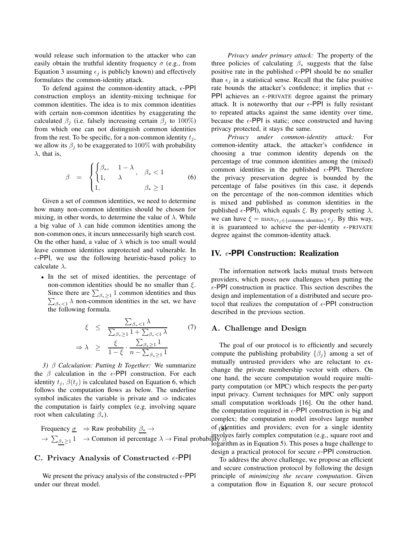would release such information to the attacker who can easily obtain the truthful identity frequency  $\sigma$  (e.g., from Equation 3 assuming  $\epsilon_j$  is publicly known) and effectively formulates the common-identity attack.

To defend against the common-identity attack,  $\epsilon$ -PPI construction employs an identity-mixing technique for common identities. The idea is to mix common identities with certain non-common identities by exaggerating the calculated  $\beta_i$  (i.e. falsely increasing certain  $\beta_i$  to 100%) from which one can not distinguish common identities from the rest. To be specific, for a non-common identity  $t_i$ , we allow its  $\beta_j$  to be exaggerated to 100% with probability  $\lambda$ , that is,

$$
\beta = \begin{cases} \begin{cases} \beta_{*}, & 1 - \lambda \\ 1, & \lambda \end{cases}, & \beta_{*} < 1 \\ 1, & \beta_{*} \ge 1 \end{cases} \tag{6}
$$

Given a set of common identities, we need to determine how many non-common identities should be chosen for mixing, in other words, to determine the value of  $\lambda$ . While a big value of  $\lambda$  can hide common identities among the non-common ones, it incurs unnecessarily high search cost. On the other hand, a value of  $\lambda$  which is too small would leave common identities unprotected and vulnerable. In  $\epsilon$ -PPI, we use the following heuristic-based policy to calculate  $\lambda$ .

• In the set of mixed identities, the percentage of non-common identities should be no smaller than  $\xi$ . Since there are  $\sum_{\beta_* \geq 1} 1$  common identities and thus  $\sum_{\beta_* < 1} \lambda$  non-common identities in the set, we have the following formula.

$$
\xi \leq \frac{\sum_{\beta_*<1} \lambda}{\sum_{\beta_*\geq 1} 1 + \sum_{\beta_*<1} \lambda} \tag{7}
$$
\n
$$
\Rightarrow \lambda \geq \frac{\xi}{1-\xi} \cdot \frac{\sum_{\beta_*\geq 1} 1}{n - \sum_{\beta_*\geq 1} 1}
$$

*3)* β *Calculation: Putting It Together:* We summarize the  $\beta$  calculation in the  $\epsilon$ -PPI construction. For each identity  $t_i$ ,  $\beta(t_i)$  is calculated based on Equation 6, which follows the computation flows as below. The underline symbol indicates the variable is private and  $\Rightarrow$  indicates the computation is fairly complex (e.g. involving square root when calculating  $\beta_*$ ).

Frequency  $\sigma \Rightarrow$  Raw probability  $\beta_* \rightarrow$  $\rightarrow \sum_{\beta_* \geq 1} 1 \rightarrow$  Common id percentage  $\lambda \rightarrow$  Final probability  $\beta$ 

# C. Privacy Analysis of Constructed  $\epsilon$ -PPI

We present the privacy analysis of the constructed  $\epsilon$ -PPI under our threat model.

*Privacy under primary attack:* The property of the three policies of calculating  $\beta_*$  suggests that the false positive rate in the published  $\epsilon$ -PPI should be no smaller than  $\epsilon_j$  in a statistical sense. Recall that the false positive rate bounds the attacker's confidence; it implies that  $\epsilon$ -PPI achieves an  $\epsilon$ -PRIVATE degree against the primary attack. It is noteworthy that our  $\epsilon$ -PPI is fully resistant to repeated attacks against the same identity over time, because the  $\epsilon$ -PPI is static; once constructed and having privacy protected, it stays the same.

*Privacy under common-identity attack:* For common-identity attack, the attacker's confidence in choosing a true common identity depends on the percentage of true common identities among the (mixed) common identities in the published  $\epsilon$ -PPI. Therefore the privacy preservation degree is bounded by the percentage of false positives (in this case, it depends on the percentage of the non-common identities which is mixed and published as common identities in the published  $\epsilon$ -PPI), which equals  $\xi$ . By properly setting  $\lambda$ , we can have  $\xi = \max_{\forall t_j \in \{\text{common identities}\}} \epsilon_j$ . By this way, it is guaranteed to achieve the per-identity  $\epsilon$ -PRIVATE degree against the common-identity attack.

# IV.  $\epsilon$ -PPI Construction: Realization

The information network lacks mutual trusts between providers, which poses new challenges when putting the  $\epsilon$ -PPI construction in practice. This section describes the design and implementation of a distributed and secure protocol that realizes the computation of  $\epsilon$ -PPI construction described in the previous section.

#### A. Challenge and Design

The goal of our protocol is to efficiently and securely compute the publishing probability  $\{\beta_i\}$  among a set of mutually untrusted providers who are reluctant to exchange the private membership vector with others. On one hand, the secure computation would require multiparty computation (or MPC) which respects the per-party input privacy. Current techniques for MPC only support small computation workloads [16]. On the other hand, the computation required in  $\epsilon$ -PPI construction is big and complex; the computation model involves large number of identities and providers; even for a single identity involves fairly complex computation (e.g., square root and logarithm as in Equation 5). This poses a huge challenge to design a practical protocol for secure  $\epsilon$ -PPI construction.

To address the above challenge, we propose an efficient and secure construction protocol by following the design principle of *minimizing the secure computation*. Given a computation flow in Equation 8, our secure protocol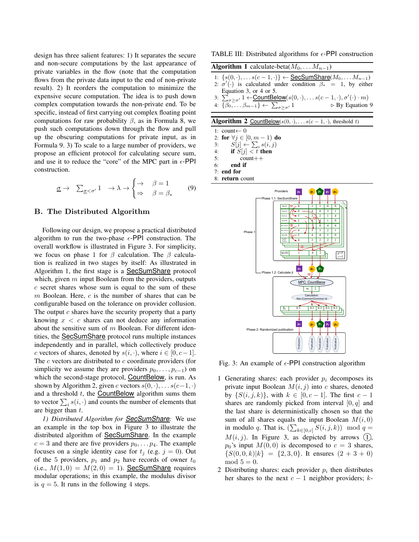design has three salient features: 1) It separates the secure and non-secure computations by the last appearance of private variables in the flow (note that the computation flows from the private data input to the end of non-private result). 2) It reorders the computation to minimize the expensive secure computation. The idea is to push down complex computation towards the non-private end. To be specific, instead of first carrying out complex floating point computations for raw probability  $\beta$ , as in Formula 8, we push such computations down through the flow and pull up the obscuring computations for private input, as in Formula 9. 3) To scale to a large number of providers, we propose an efficient protocol for calculating secure sum, and use it to reduce the "core" of the MPC part in  $\epsilon$ -PPI construction.

$$
\underline{\sigma} \to \sum_{\underline{\sigma} < \sigma'} 1 \to \lambda \to \begin{cases} \to & \beta = 1 \\ \Rightarrow & \beta = \beta_* \end{cases} \tag{9}
$$

#### B. The Distributed Algorithm

Following our design, we propose a practical distributed algorithm to run the two-phase  $\epsilon$ -PPI construction. The overall workflow is illustrated in Figure 3. For simplicity, we focus on phase 1 for  $\beta$  calculation. The  $\beta$  calculation is realized in two stages by itself: As illustrated in Algorithm 1, the first stage is a SecSumShare protocol which, given  $m$  input Boolean from the providers, outputs c secret shares whose sum is equal to the sum of these  $m$  Boolean. Here,  $c$  is the number of shares that can be configurable based on the tolerance on provider collusion. The output  $c$  shares have the security property that a party knowing  $x < c$  shares can not deduce any information about the sensitive sum of  $m$  Boolean. For different identities, the **SecSumShare** protocol runs multiple instances independently and in parallel, which collectively produce c vectors of shares, denoted by  $s(i, \cdot)$ , where  $i \in [0, c-1]$ . The  $c$  vectors are distributed to  $c$  coordinate providers (for simplicity we assume they are providers  $p_0, \ldots, p_{c-1}$ ) on which the second-stage protocol, CountBelow, is run. As shown by Algorithm 2, given c vectors  $s(0, \cdot), \ldots s(c-1, \cdot)$ and a threshold  $t$ , the **CountBelow** algorithm sums them to vector  $\sum_i s(i, \cdot)$  and counts the number of elements that are bigger than  $t$ .

*1) Distributed Algorithm for SecSumShare:* We use an example in the top box in Figure 3 to illustrate the distributed algorithm of SecSumShare. In the example  $c = 3$  and there are five providers  $p_0, \ldots, p_4$ . The example focuses on a single identity case for  $t_j$  (e.g.  $j = 0$ ). Out of the 5 providers,  $p_1$  and  $p_2$  have records of owner  $t_0$ (i.e.,  $M(1,0) = M(2,0) = 1$ ). SecSumShare requires modular operations; in this example, the modulus divisor is  $q = 5$ . It runs in the following 4 steps.

TABLE III: Distributed algorithms for  $\epsilon$ -PPI construction

| <b>Algorithm 1</b> calculate-beta $(M_0, \ldots M_{n-1})$                                                                          |
|------------------------------------------------------------------------------------------------------------------------------------|
| 1: $\{s(0, \cdot), \ldots s(c-1, \cdot)\}\leftarrow \underline{\text{SecSumShare}}(M_0, \ldots M_{n-1})$                           |
| 2: $\sigma'(\cdot)$ is calculated under condition $\beta_* = 1$ , by either                                                        |
| Equation 3, or 4 or 5.                                                                                                             |
| 3: $\sum_{\sigma \ge \sigma'} 1 \leftarrow \underline{\text{CountBelow}}(s(0,\cdot), \ldots s(c-1,\cdot), \sigma'(\cdot) \cdot m)$ |
| 4: $\{\beta_0, \ldots \beta_{m-1}\} \leftarrow \sum_{\sigma > \sigma'} 1$<br>$\triangleright$ By Equation 9                        |

|  |  |  | <b>Algorithm 2</b> CountBelow( $s(0, \cdot), \ldots s(c-1, \cdot)$ , threshold t) |
|--|--|--|-----------------------------------------------------------------------------------|
|--|--|--|-----------------------------------------------------------------------------------|

1: count←  $0$ 2: for  $\forall j \in [0, m-1)$  do 3:  $S[j] \leftarrow \sum_i s(i, j)$ 4: if  $S[j] < t$  then 5:  $count++$ 6: end if

7: end for

8: return count



Fig. 3: An example of  $\epsilon$ -PPI construction algorithm

- 1 Generating shares: each provider  $p_i$  decomposes its private input Boolean  $M(i, j)$  into c shares, denoted by  $\{S(i, j, k)\}\$ , with  $k \in [0, c - 1]\$ . The first  $c - 1$ shares are randomly picked from interval  $[0, q]$  and the last share is deterministically chosen so that the sum of all shares equals the input Boolean  $M(i, 0)$ in modulo q. That is,  $(\sum_{k \in [0,c]} S(i,j,k)) \mod q =$  $M(i, j)$ . In Figure 3, as depicted by arrows  $(1)$ ,  $p_0$ 's input  $M(0, 0)$  is decomposed to  $c = 3$  shares,  $\{S(0, 0, k)|k\} = \{2, 3, 0\}.$  It ensures  $(2 + 3 + 0)$  $mod 5 = 0.$
- 2 Distributing shares: each provider  $p_i$  then distributes her shares to the next  $c - 1$  neighbor providers; k-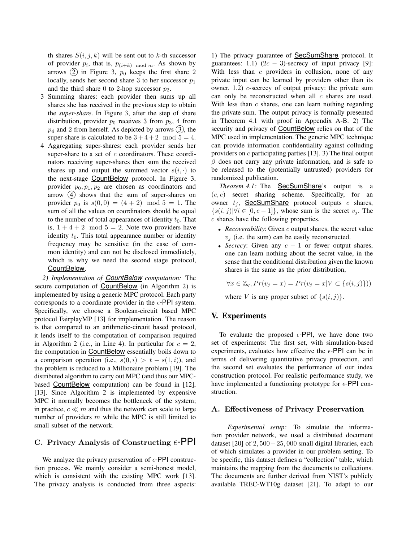th shares  $S(i, j, k)$  will be sent out to k-th successor of provider  $p_i$ , that is,  $p_{(i+k) \mod m}$ . As shown by arrows  $(2)$  in Figure 3,  $p_0$  keeps the first share 2 locally, sends her second share 3 to her successor  $p_1$ and the third share 0 to 2-hop successor  $p_2$ .

- 3 Summing shares: each provider then sums up all shares she has received in the previous step to obtain the *super-share*. In Figure 3, after the step of share distribution, provider  $p_0$  receives 3 from  $p_3$ , 4 from  $p_4$  and 2 from herself. As depicted by arrows  $(3)$ , the super-share is calculated to be  $3+4+2 \mod 5 = 4$ .
- 4 Aggregating super-shares: each provider sends her super-share to a set of  $c$  coordinators. These coordinators receiving super-shares then sum the received shares up and output the summed vector  $s(i, \cdot)$  to the next-stage CountBelow protocol. In Figure 3, provider  $p_0, p_1, p_2$  are chosen as coordinators and arrow  $(4)$  shows that the sum of super-shares on provider  $p_0$  is  $s(0, 0) = (4 + 2) \mod 5 = 1$ . The sum of all the values on coordinators should be equal to the number of total appearances of identity  $t_0$ . That is,  $1 + 4 + 2 \mod 5 = 2$ . Note two providers have identity  $t_0$ . This total appearance number or identity frequency may be sensitive (in the case of common identity) and can not be disclosed immediately, which is why we need the second stage protocol, CountBelow.

*2) Implementation of CountBelow computation:* The secure computation of CountBelow (in Algorithm 2) is implemented by using a generic MPC protocol. Each party corresponds to a coordinate provider in the  $\epsilon$ -PPI system. Specifically, we choose a Boolean-circuit based MPC protocol FairplayMP [13] for implementation. The reason is that compared to an arithmetic-circuit based protocol, it lends itself to the computation of comparison required in Algorithm 2 (i.e., in Line 4). In particular for  $c = 2$ , the computation in CountBelow essentially boils down to a comparison operation (i.e.,  $s(0, i) > t - s(1, i)$ ), and the problem is reduced to a Millionaire problem [19]. The distributed algorithm to carry out MPC (and thus our MPCbased CountBelow computation) can be found in [12], [13]. Since Algorithm 2 is implemented by expensive MPC it normally becomes the bottleneck of the system; in practice,  $c \ll m$  and thus the network can scale to large number of providers  $m$  while the MPC is still limited to small subset of the network.

# C. Privacy Analysis of Constructing  $\epsilon$ -PPI

We analyze the privacy preservation of  $\epsilon$ -PPI construction process. We mainly consider a semi-honest model, which is consistent with the existing MPC work [13]. The privacy analysis is conducted from three aspects:

1) The privacy guarantee of SecSumShare protocol. It guarantees: 1.1) (2 $c - 3$ )-secrecy of input privacy [9]: With less than  $c$  providers in collusion, none of any private input can be learned by providers other than its owner. 1.2) c-secrecy of output privacy: the private sum can only be reconstructed when all  $c$  shares are used. With less than  $c$  shares, one can learn nothing regarding the private sum. The output privacy is formally presented in Theorem 4.1 with proof in Appendix A-B. 2) The security and privacy of CountBelow relies on that of the MPC used in implementation. The generic MPC technique can provide information confidentiality against colluding providers on  $c$  participating parties [13]. 3) The final output  $\beta$  does not carry any private information, and is safe to be released to the (potentially untrusted) providers for randomized publication.

*Theorem 4.1:* The SecSumShare's output is a  $(c, c)$  secret sharing scheme. Specifically, for an owner  $t_j$ , SecSumShare protocol outputs  $c$  shares,  $\{s(i, j)|\forall i \in [0, c-1]\}$ , whose sum is the secret  $v_i$ . The c shares have the following properties.

- *Recoverability:* Given *c* output shares, the secret value  $v_j$  (i.e. the sum) can be easily reconstructed.
- *Secrecy*: Given any  $c 1$  or fewer output shares, one can learn nothing about the secret value, in the sense that the conditional distribution given the known shares is the same as the prior distribution,

 $\forall x \in \mathbb{Z}_q, Pr(v_i = x) = Pr(v_i = x | V \subset \{s(i, j)\})$ 

where V is any proper subset of  $\{s(i, j)\}.$ 

# V. Experiments

To evaluate the proposed  $\epsilon$ -PPI, we have done two set of experiments: The first set, with simulation-based experiments, evaluates how effective the  $\epsilon$ -PPI can be in terms of delivering quantitative privacy protection, and the second set evaluates the performance of our index construction protocol. For realistic performance study, we have implemented a functioning prototype for  $\epsilon$ -PPI construction.

## A. Effectiveness of Privacy Preservation

*Experimental setup:* To simulate the information provider network, we used a distributed document dataset [20] of 2, 500−25, 000 small digital libraries, each of which simulates a provider in our problem setting. To be specific, this dataset defines a "collection" table, which maintains the mapping from the documents to collections. The documents are further derived from NIST's publicly available TREC-WT10g dataset [21]. To adapt to our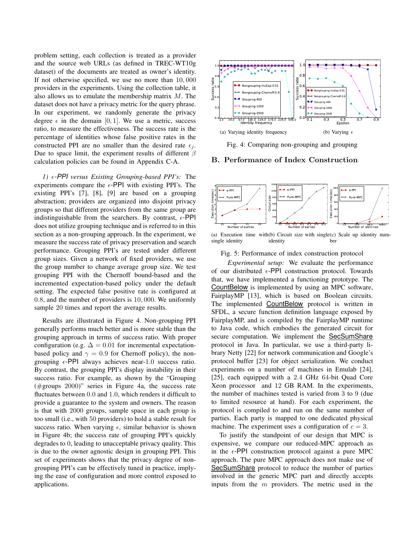problem setting, each collection is treated as a provider and the source web URLs (as defined in TREC-WT10g dataset) of the documents are treated as owner's identity. If not otherwise specified, we use no more than 10, 000 providers in the experiments. Using the collection table, it also allows us to emulate the membership matrix M. The dataset does not have a privacy metric for the query phrase. In our experiment, we randomly generate the privacy degree  $\epsilon$  in the domain [0, 1]. We use a metric, success ratio, to measure the effectiveness. The success rate is the percentage of identities whose false positive rates in the constructed PPI are no smaller than the desired rate  $\epsilon_i$ . Due to space limit, the experiment results of different  $\beta$ calculation policies can be found in Appendix C-A.

*1)*  $\epsilon$ -PPI versus Existing Grouping-based PPI's: The experiments compare the  $\epsilon$ -PPI with existing PPI's. The existing PPI's [7], [8], [9] are based on a grouping abstraction; providers are organized into disjoint privacy groups so that different providers from the same group are indistinguishable from the searchers. By contrast,  $\epsilon$ -PPI does not utilize grouping technique and is referred to in this section as a non-grouping approach. In the experiment, we measure the success rate of privacy preservation and search performance. Grouping PPI's are tested under different group sizes. Given a network of fixed providers, we use the group number to change average group size. We test grouping PPI with the Chernoff bound-based and the incremented expectation-based policy under the default setting. The expected false positive rate is configured at 0.8, and the number of providers is 10, 000. We uniformly sample 20 times and report the average results.

Results are illustrated in Figure 4. Non-grouping PPI generally performs much better and is more stable than the grouping approach in terms of success ratio. With proper configuration (e.g.  $\Delta = 0.01$  for incremental expectationbased policy and  $\gamma = 0.9$  for Chernoff policy), the nongrouping  $\epsilon$ -PPI always achieves near-1.0 success ratio. By contrast, the grouping PPI's display instability in their success ratio. For example, as shown by the "Grouping (#groups 2000)" series in Figure 4a, the success rate fluctuates between 0.0 and 1.0, which renders it difficult to provide a guarantee to the system and owners. The reason is that with 2000 groups, sample space in each group is too small (i.e., with 50 providers) to hold a stable result for success ratio. When varying  $\epsilon$ , similar behavior is shown in Figure 4b; the success rate of grouping PPI's quickly degrades to 0, leading to unacceptable privacy quality. This is due to the owner agnostic design in grouping PPI. This set of experiments shows that the privacy degree of nongrouping PPI's can be effectively tuned in practice, implying the ease of configuration and more control exposed to applications.



Fig. 4: Comparing non-grouping and grouping

## B. Performance of Index Construction



 $(a)$  Execution time single identity (b) Circuit size with single (c) Scale up identity numidentity ber

#### Fig. 5: Performance of index construction protocol

*Experimental setup:* We evaluate the performance of our distributed  $\epsilon$ -PPI construction protocol. Towards that, we have implemented a functioning prototype. The CountBelow is implemented by using an MPC software, FairplayMP [13], which is based on Boolean circuits. The implemented CountBelow protocol is written in SFDL, a secure function definition language exposed by FairplayMP, and is compiled by the FairplayMP runtime to Java code, which embodies the generated circuit for secure computation. We implement the SecSumShare protocol in Java. In particular, we use a third-party library Netty [22] for network communication and Google's protocol buffer [23] for object serialization. We conduct experiments on a number of machines in Emulab [24], [25], each equipped with a 2.4 GHz 64-bit Quad Core Xeon processor and 12 GB RAM. In the experiments, the number of machines tested is varied from 3 to 9 (due to limited resource at hand). For each experiment, the protocol is compiled to and run on the same number of parties. Each party is mapped to one dedicated physical machine. The experiment uses a configuration of  $c = 3$ .

To justify the standpoint of our design that MPC is expensive, we compare our reduced-MPC approach as in the  $\epsilon$ -PPI construction protocol against a pure MPC approach. The pure MPC approach does not make use of SecSumShare protocol to reduce the number of parties involved in the generic MPC part and directly accepts inputs from the  $m$  providers. The metric used in the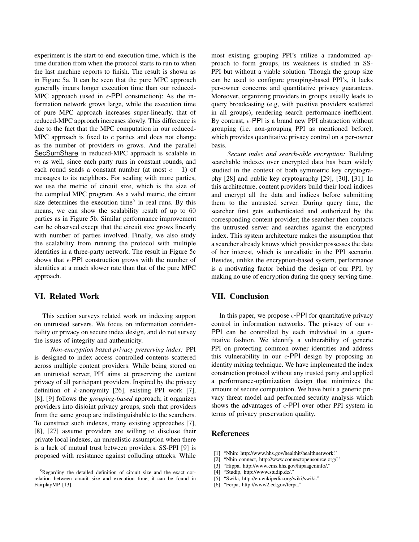experiment is the start-to-end execution time, which is the time duration from when the protocol starts to run to when the last machine reports to finish. The result is shown as in Figure 5a. It can be seen that the pure MPC approach generally incurs longer execution time than our reduced-MPC approach (used in  $\epsilon$ -PPI construction): As the information network grows large, while the execution time of pure MPC approach increases super-linearly, that of reduced-MPC approach increases slowly. This difference is due to the fact that the MPC computation in our reduced-MPC approach is fixed to  $c$  parties and does not change as the number of providers  $m$  grows. And the parallel SecSumShare in reduced-MPC approach is scalable in  $m$  as well, since each party runs in constant rounds, and each round sends a constant number (at most  $c - 1$ ) of messages to its neighbors. For scaling with more parties, we use the metric of circuit size, which is the size of the compiled MPC program. As a valid metric, the circuit size determines the execution time<sup>5</sup> in real runs. By this means, we can show the scalability result of up to 60 parties as in Figure 5b. Similar performance improvement can be observed except that the circuit size grows linearly with number of parties involved. Finally, we also study the scalability from running the protocol with multiple identities in a three-party network. The result in Figure 5c shows that  $\epsilon$ -PPI construction grows with the number of identities at a much slower rate than that of the pure MPC approach.

# VI. Related Work

This section surveys related work on indexing support on untrusted servers. We focus on information confidentiality or privacy on secure index design, and do not survey the issues of integrity and authenticity.

*Non-encryption based privacy preserving index:* PPI is designed to index access controlled contents scattered across multiple content providers. While being stored on an untrusted server, PPI aims at preserving the content privacy of all participant providers. Inspired by the privacy definition of k-anonymity [26], existing PPI work [7], [8], [9] follows the *grouping-based* approach; it organizes providers into disjoint privacy groups, such that providers from the same group are indistinguishable to the searchers. To construct such indexes, many existing approaches [7], [8], [27] assume providers are willing to disclose their private local indexes, an unrealistic assumption when there is a lack of mutual trust between providers. SS-PPI [9] is proposed with resistance against colluding attacks. While

most existing grouping PPI's utilize a randomized approach to form groups, its weakness is studied in SS-PPI but without a viable solution. Though the group size can be used to configure grouping-based PPI's, it lacks per-owner concerns and quantitative privacy guarantees. Moreover, organizing providers in groups usually leads to query broadcasting (e.g, with positive providers scattered in all groups), rendering search performance inefficient. By contrast,  $\epsilon$ -PPI is a brand new PPI abstraction without grouping (i.e. non-grouping PPI as mentioned before), which provides quantitative privacy control on a per-owner basis.

*Secure index and search-able encryption:* Building searchable indexes over encrypted data has been widely studied in the context of both symmetric key cryptography [28] and public key cryptography [29], [30], [31]. In this architecture, content providers build their local indices and encrypt all the data and indices before submitting them to the untrusted server. During query time, the searcher first gets authenticated and authorized by the corresponding content provider; the searcher then contacts the untrusted server and searches against the encrypted index. This system architecture makes the assumption that a searcher already knows which provider possesses the data of her interest, which is unrealistic in the PPI scenario. Besides, unlike the encryption-based system, performance is a motivating factor behind the design of our PPI, by making no use of encryption during the query serving time.

# VII. Conclusion

In this paper, we propose  $\epsilon$ -PPI for quantitative privacy control in information networks. The privacy of our  $\epsilon$ -PPI can be controlled by each individual in a quantitative fashion. We identify a vulnerability of generic PPI on protecting common owner identities and address this vulnerability in our  $\epsilon$ -PPI design by proposing an identity mixing technique. We have implemented the index construction protocol without any trusted party and applied a performance-optimization design that minimizes the amount of secure computation. We have built a generic privacy threat model and performed security analysis which shows the advantages of  $\epsilon$ -PPI over other PPI system in terms of privacy preservation quality.

## References

- [1] "Nhin: http://www.hhs.gov/healthit/healthnetwork."
- [2] "Nhin connect, http://www.connectopensource.org/."
- [3] "Hippa, http://www.cms.hhs.gov/hipaageninfo/."
- [4] "Studip, http://www.studip.de/."
- [5] "Swiki, http://en.wikipedia.org/wiki/swiki."
- [6] "Ferpa, http://www2.ed.gov/ferpa."

<sup>5</sup>Regarding the detailed definition of circuit size and the exact correlation between circuit size and execution time, it can be found in FairplayMP [13].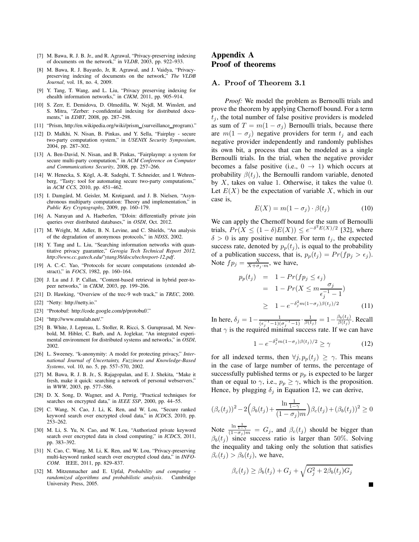- [7] M. Bawa, R. J. B. Jr., and R. Agrawal, "Privacy-preserving indexing of documents on the network," in *VLDB*, 2003, pp. 922–933.
- [8] M. Bawa, R. J. Bayardo, Jr, R. Agrawal, and J. Vaidya, "Privacypreserving indexing of documents on the network," *The VLDB Journal*, vol. 18, no. 4, 2009.
- [9] Y. Tang, T. Wang, and L. Liu, "Privacy preserving indexing for ehealth information networks," in *CIKM*, 2011, pp. 905–914.
- [10] S. Zerr, E. Demidova, D. Olmedilla, W. Nejdl, M. Winslett, and S. Mitra, "Zerber: r-confidential indexing for distributed documents," in *EDBT*, 2008, pp. 287–298.
- [11] "Prism, http://en.wikipedia.org/wiki/prism\_(surveillance\_program)."
- [12] D. Malkhi, N. Nisan, B. Pinkas, and Y. Sella, "Fairplay secure two-party computation system," in *USENIX Security Symposium*, 2004, pp. 287–302.
- [13] A. Ben-David, N. Nisan, and B. Pinkas, "Fairplaymp: a system for secure multi-party computation," in *ACM Conference on Computer and Communications Security*, 2008, pp. 257–266.
- [14] W. Henecka, S. Kögl, A.-R. Sadeghi, T. Schneider, and I. Wehrenberg, "Tasty: tool for automating secure two-party computations," in *ACM CCS*, 2010, pp. 451–462.
- [15] I. Damgård, M. Geisler, M. Krøigaard, and J. B. Nielsen, "Asynchronous multiparty computation: Theory and implementation," in *Public Key Cryptography*, 2009, pp. 160–179.
- [16] A. Narayan and A. Haeberlen, "DJoin: differentially private join queries over distributed databases," in *OSDI*, Oct. 2012.
- [17] M. Wright, M. Adler, B. N. Levine, and C. Shields, "An analysis of the degradation of anonymous protocols," in *NDSS*, 2002.
- [18] Y. Tang and L. Liu, "Searching information networks with quantitative privacy guarantee," *Gerogia Tech Technical Report 2012, http://www.cc.gatech.edu/˜ytang36/docs/techreport-12.pdf*.
- [19] A. C.-C. Yao, "Protocols for secure computations (extended abstract)," in *FOCS*, 1982, pp. 160–164.
- [20] J. Lu and J. P. Callan, "Content-based retrieval in hybrid peer-topeer networks," in *CIKM*, 2003, pp. 199–206.
- [21] D. Hawking, "Overview of the trec-9 web track," in *TREC*, 2000.
- [22] "Netty: http://netty.io."
- [23] "Protobuf: http://code.google.com/p/protobuf/."
- [24] "http://www.emulab.net/."
- [25] B. White, J. Lepreau, L. Stoller, R. Ricci, S. Guruprasad, M. Newbold, M. Hibler, C. Barb, and A. Joglekar, "An integrated experimental environment for distributed systems and networks," in *OSDI*, 2002.
- [26] L. Sweeney, "k-anonymity: A model for protecting privacy," *International Journal of Uncertainty, Fuzziness and Knowledge-Based Systems*, vol. 10, no. 5, pp. 557–570, 2002.
- [27] M. Bawa, R. J. B. Jr., S. Rajagopalan, and E. J. Shekita, "Make it fresh, make it quick: searching a network of personal webservers," in *WWW*, 2003, pp. 577–586.
- [28] D. X. Song, D. Wagner, and A. Perrig, "Practical techniques for searches on encrypted data," in *IEEE SSP*, 2000, pp. 44–55.
- [29] C. Wang, N. Cao, J. Li, K. Ren, and W. Lou, "Secure ranked keyword search over encrypted cloud data," in *ICDCS*, 2010, pp. 253–262.
- [30] M. Li, S. Yu, N. Cao, and W. Lou, "Authorized private keyword search over encrypted data in cloud computing," in *ICDCS*, 2011, pp. 383–392.
- [31] N. Cao, C. Wang, M. Li, K. Ren, and W. Lou, "Privacy-preserving multi-keyword ranked search over encrypted cloud data," in *INFO-COM*. IEEE, 2011, pp. 829–837.
- [32] M. Mitzenmacher and E. Upfal, *Probability and computing randomized algorithms and probabilistic analysis*. Cambridge University Press, 2005.

# Appendix A Proof of theorems

#### A. Proof of Theorem 3.1

*Proof:* We model the problem as Bernoulli trials and prove the theorem by applying Chernoff bound. For a term  $t_i$ , the total number of false positive providers is modeled as sum of  $T = m(1 - \sigma_i)$  Bernoulli trials, because there are  $m(1 - \sigma_j)$  negative providers for term  $t_j$  and each negative provider independently and randomly publishes its own bit, a process that can be modeled as a single Bernoulli trials. In the trial, when the negative provider becomes a false positive (i.e.,  $0 \rightarrow 1$ ) which occurs at probability  $\beta(t_i)$ , the Bernoulli random variable, denoted by  $X$ , takes on value 1. Otherwise, it takes the value 0. Let  $E(X)$  be the expectation of variable X, which in our case is,

$$
E(X) = m(1 - \sigma_j) \cdot \beta(t_j)
$$
 (10)

We can apply the Chernoff bound for the sum of Bernoulli trials,  $Pr(X \leq (1 - \delta)E(X)) \leq e^{-\delta^2 E(X)/2}$  [32], where  $\delta > 0$  is any positive number. For term  $t_i$ , the expected success rate, denoted by  $p_p(t_j)$ , is equal to the probability of a publication success, that is,  $p_p(t_j) = Pr(f p_j > \epsilon_j)$ . Note  $fp_j = \frac{X}{X + \sigma_j \cdot m}$ , we have,

$$
p_p(t_j) = 1 - Pr(fp_j \le \epsilon_j)
$$
  
= 1 - Pr(X \le m \frac{\sigma\_j}{\epsilon\_j^{-1} - 1})  

$$
\ge 1 - e^{-\delta_j^2 m (1 - \sigma_j)\beta(t_j)/2}
$$
 (11)

In here,  $\delta_j = 1 - \frac{1}{(\epsilon_j^{-1} - 1)(\sigma_j^{-1} - 1)} \cdot \frac{1}{\beta(t_j)} = 1 - \frac{\beta_b(t_j)}{\beta(t_j)}$  $\frac{\partial b(t_j)}{\beta(t_j)}$ . Recall that  $\gamma$  is the required minimal success rate. If we can have

$$
1 - e^{-\delta_j^2 m (1 - \sigma_j)\beta(t_j)/2} \ge \gamma \tag{12}
$$

for all indexed terms, then  $\forall j, p_p(t_j) \geq \gamma$ . This means in the case of large number of terms, the percentage of successfully published terms or  $p_p$  is expected to be larger than or equal to  $\gamma$ , i.e.,  $p_p \geq \gamma$ , which is the proposition. Hence, by plugging  $\delta_j$  in Equation 12, we can derive,

$$
(\beta_c(t_j))^2 - 2\left(\beta_b(t_j) + \frac{\ln \frac{1}{1-\gamma}}{(1-\sigma_j)m}\right)\beta_c(t_j) + (\beta_b(t_j))^2 \ge 0
$$

Note  $\frac{\ln \frac{1}{1-\gamma}}{(1-\sigma_j)m} = G_j$ , and  $\beta_c(t_j)$  should be bigger than  $\beta_b(t_j)$  since success ratio is larger than 50%. Solving the inequality and taking only the solution that satisfies  $\beta_c(t_i) > \beta_b(t_i)$ , we have,

$$
\beta_c(t_j) \ge \beta_b(t_j) + G_j + \sqrt{G_j^2 + 2\beta_b(t_j)G_j}
$$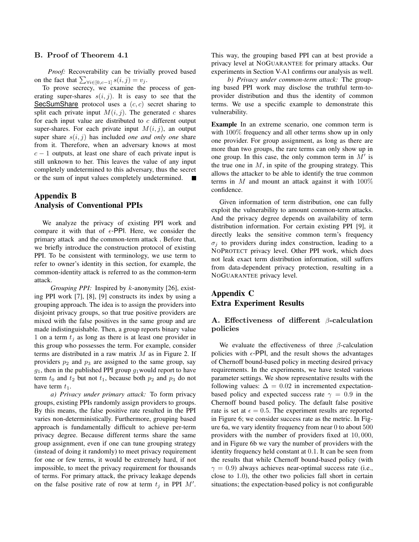## B. Proof of Theorem 4.1

*Proof:* Recoverability can be trivially proved based on the fact that  $\sum_{\forall i \in [0, c-1]} s(i, j) = v_j$ .

To prove secrecy, we examine the process of generating super-shares  $s(i, j)$ . It is easy to see that the SecSumShare protocol uses a  $(c, c)$  secret sharing to split each private input  $M(i, j)$ . The generated c shares for each input value are distributed to  $c$  different output super-shares. For each private input  $M(i, j)$ , an output super share  $s(i, j)$  has included *one and only one* share from it. Therefore, when an adversary knows at most  $c - 1$  outputs, at least one share of each private input is still unknown to her. This leaves the value of any input completely undetermined to this adversary, thus the secret or the sum of input values completely undetermined. П

# Appendix B Analysis of Conventional PPIs

We analyze the privacy of existing PPI work and compare it with that of  $\epsilon$ -PPI. Here, we consider the primary attack and the common-term attack . Before that, we briefly introduce the construction protocol of existing PPI. To be consistent with terminology, we use term to refer to owner's identity in this section, for example, the common-identity attack is referred to as the common-term attack.

*Grouping PPI:* Inspired by k-anonymity [26], existing PPI work [7], [8], [9] constructs its index by using a grouping approach. The idea is to assign the providers into disjoint privacy groups, so that true positive providers are mixed with the false positives in the same group and are made indistinguishable. Then, a group reports binary value 1 on a term  $t_i$  as long as there is at least one provider in this group who possesses the term. For example, consider terms are distributed in a raw matrix  $M$  as in Figure 2. If providers  $p_2$  and  $p_3$  are assigned to the same group, say  $g_1$ , then in the published PPI group  $g_1$  would report to have term  $t_0$  and  $t_2$  but not  $t_1$ , because both  $p_2$  and  $p_3$  do not have term  $t_1$ .

*a) Privacy under primary attack:* To form privacy groups, existing PPIs randomly assign providers to groups. By this means, the false positive rate resulted in the PPI varies non-deterministically. Furthermore, grouping based approach is fundamentally difficult to achieve per-term privacy degree. Because different terms share the same group assignment, even if one can tune grouping strategy (instead of doing it randomly) to meet privacy requirement for one or few terms, it would be extremely hard, if not impossible, to meet the privacy requirement for thousands of terms. For primary attack, the privacy leakage depends on the false positive rate of row at term  $t_j$  in PPI  $M'$ .

This way, the grouping based PPI can at best provide a privacy level at NOGUARANTEE for primary attacks. Our experiments in Section V-A1 confirms our analysis as well.

*b) Privacy under common-term attack:* The grouping based PPI work may disclose the truthful term-toprovider distribution and thus the identity of common terms. We use a specific example to demonstrate this vulnerability.

Example In an extreme scenario, one common term is with 100% frequency and all other terms show up in only one provider. For group assignment, as long as there are more than two groups, the rare terms can only show up in one group. In this case, the only common term in  $M'$  is the true one in  $M$ , in spite of the grouping strategy. This allows the attacker to be able to identify the true common terms in  $M$  and mount an attack against it with  $100\%$ confidence.

Given information of term distribution, one can fully exploit the vulnerability to amount common-term attacks. And the privacy degree depends on availability of term distribution information. For certain existing PPI [9], it directly leaks the sensitive common term's frequency  $\sigma_i$  to providers during index construction, leading to a NOPROTECT privacy level. Other PPI work, which does not leak exact term distribution information, still suffers from data-dependent privacy protection, resulting in a NOGUARANTEE privacy level.

# Appendix C Extra Experiment Results

# A. Effectiveness of different β-calculation policies

We evaluate the effectiveness of three  $\beta$ -calculation policies with  $\epsilon$ -PPI, and the result shows the advantages of Chernoff bound-based policy in meeting desired privacy requirements. In the experiments, we have tested various parameter settings. We show representative results with the following values:  $\Delta = 0.02$  in incremented expectationbased policy and expected success rate  $\gamma = 0.9$  in the Chernoff bound based policy. The default false positive rate is set at  $\epsilon = 0.5$ . The experiment results are reported in Figure 6; we consider success rate as the metric. In Figure 6a, we vary identity frequency from near 0 to about 500 providers with the number of providers fixed at 10, 000, and in Figure 6b we vary the number of providers with the identity frequency held constant at 0.1. It can be seen from the results that while Chernoff bound-based policy (with  $\gamma = 0.9$ ) always achieves near-optimal success rate (i.e., close to 1.0), the other two policies fall short in certain situations; the expectation-based policy is not configurable